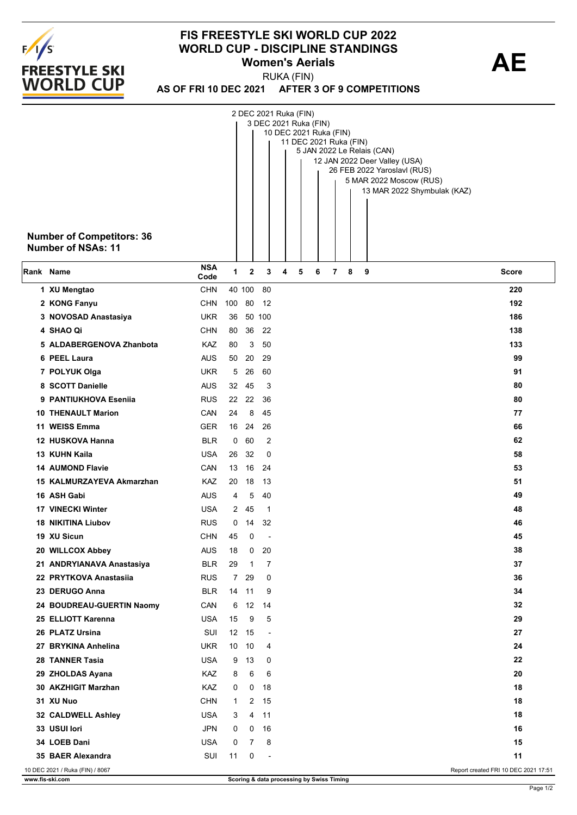

## **FIS FREESTYLE SKI WORLD CUP 2022 WORLD CUP - DISCIPLINE STANDINGS<br>Women's Aerials <b>AE Women's Aerials**

**AS OF FRI 10 DEC 2021 AFTER 3 OF 9 COMPETITIONS** RUKA (FIN)

|           | <b>Number of Competitors: 36</b><br><b>Number of NSAs: 11</b> |                          |                      |              | 2 DEC 2021 Ruka (FIN)<br>3 DEC 2021 Ruka (FIN) | 10 DEC 2021 Ruka (FIN) |   | 11 DEC 2021 Ruka (FIN) |   |   | 5 JAN 2022 Le Relais (CAN)<br>12 JAN 2022 Deer Valley (USA)<br>26 FEB 2022 Yaroslavl (RUS)<br>5 MAR 2022 Moscow (RUS)<br>13 MAR 2022 Shymbulak (KAZ) |  |
|-----------|---------------------------------------------------------------|--------------------------|----------------------|--------------|------------------------------------------------|------------------------|---|------------------------|---|---|------------------------------------------------------------------------------------------------------------------------------------------------------|--|
| Rank Name |                                                               | <b>NSA</b><br>Code       | 1                    | $\mathbf{2}$ | 3                                              | 4                      | 5 | 6                      | 7 | 8 | 9<br>Score                                                                                                                                           |  |
|           | 1 XU Mengtao                                                  | <b>CHN</b>               |                      | 40 100       | 80                                             |                        |   |                        |   |   | 220                                                                                                                                                  |  |
|           | 2 KONG Fanyu                                                  | <b>CHN</b>               | 100                  | 80           | -12                                            |                        |   |                        |   |   | 192                                                                                                                                                  |  |
|           | 3 NOVOSAD Anastasiya                                          | <b>UKR</b>               | 36                   |              | 50 100                                         |                        |   |                        |   |   | 186                                                                                                                                                  |  |
|           | 4 SHAO Qi                                                     | <b>CHN</b>               | 80                   | 36           | 22                                             |                        |   |                        |   |   | 138                                                                                                                                                  |  |
|           | 5 ALDABERGENOVA Zhanbota                                      | KAZ                      | 80                   | 3            | 50                                             |                        |   |                        |   |   | 133                                                                                                                                                  |  |
|           | 6 PEEL Laura                                                  | <b>AUS</b>               | 50                   | 20           | 29                                             |                        |   |                        |   |   | 99                                                                                                                                                   |  |
|           | 7 POLYUK Olga                                                 | <b>UKR</b>               | 5                    | 26           | 60                                             |                        |   |                        |   |   | 91                                                                                                                                                   |  |
|           | 8 SCOTT Danielle                                              | <b>AUS</b>               | 32                   | - 45         | 3                                              |                        |   |                        |   |   | 80                                                                                                                                                   |  |
|           | 9 PANTIUKHOVA Esenija                                         | <b>RUS</b>               | 22                   | 22           | -36                                            |                        |   |                        |   |   | 80                                                                                                                                                   |  |
|           | <b>10 THENAULT Marion</b>                                     | CAN                      | 24                   | 8            | 45                                             |                        |   |                        |   |   | 77                                                                                                                                                   |  |
|           | 11 WEISS Emma                                                 | <b>GER</b>               |                      | 16 24        | 26                                             |                        |   |                        |   |   | 66                                                                                                                                                   |  |
|           | 12 HUSKOVA Hanna                                              | <b>BLR</b>               | 0                    | 60           | $\overline{2}$                                 |                        |   |                        |   |   | 62                                                                                                                                                   |  |
|           | 13 KUHN Kaila                                                 | <b>USA</b>               | 26                   | 32           | 0                                              |                        |   |                        |   |   | 58                                                                                                                                                   |  |
|           | <b>14 AUMOND Flavie</b>                                       | CAN                      | 13                   | - 16         | -24                                            |                        |   |                        |   |   | 53                                                                                                                                                   |  |
|           | 15 KALMURZAYEVA Akmarzhan                                     | <b>KAZ</b>               | 20                   | 18           | -13                                            |                        |   |                        |   |   | 51                                                                                                                                                   |  |
|           | 16 ASH Gabi                                                   | <b>AUS</b>               | 4                    | 5            | 40                                             |                        |   |                        |   |   | 49                                                                                                                                                   |  |
|           | <b>17 VINECKI Winter</b>                                      | <b>USA</b>               | 2                    | 45           | -1                                             |                        |   |                        |   |   | 48                                                                                                                                                   |  |
|           | <b>18 NIKITINA Liubov</b>                                     | <b>RUS</b>               | 0                    | 14           | 32                                             |                        |   |                        |   |   | 46                                                                                                                                                   |  |
|           | 19 XU Sicun                                                   | <b>CHN</b>               | 45                   | 0            |                                                |                        |   |                        |   |   | 45                                                                                                                                                   |  |
|           | 20 WILLCOX Abbey                                              | <b>AUS</b>               | 18                   | 0            | 20                                             |                        |   |                        |   |   | 38<br>37                                                                                                                                             |  |
|           | 21 ANDRYIANAVA Anastasiya<br>22 PRYTKOVA Anastasiia           | <b>BLR</b><br><b>RUS</b> | 29<br>7 <sup>7</sup> | 1<br>29      | 7<br>0                                         |                        |   |                        |   |   | 36                                                                                                                                                   |  |
|           | 23 DERUGO Anna                                                | <b>BLR</b>               | 14                   | 11           | 9                                              |                        |   |                        |   |   | 34                                                                                                                                                   |  |
|           | 24 BOUDREAU-GUERTIN Naomy                                     | CAN                      | 6                    | 12           | 14                                             |                        |   |                        |   |   | 32                                                                                                                                                   |  |
|           | 25 ELLIOTT Karenna                                            | <b>USA</b>               | 15                   | 9            | 5                                              |                        |   |                        |   |   | 29                                                                                                                                                   |  |
|           | 26 PLATZ Ursina                                               | SUI                      | 12                   | 15           | $\overline{\phantom{a}}$                       |                        |   |                        |   |   | 27                                                                                                                                                   |  |
|           | 27 BRYKINA Anhelina                                           | <b>UKR</b>               | 10                   | 10           | 4                                              |                        |   |                        |   |   | 24                                                                                                                                                   |  |
|           | 28 TANNER Tasia                                               | <b>USA</b>               | 9                    | 13           | 0                                              |                        |   |                        |   |   | 22                                                                                                                                                   |  |
|           | 29 ZHOLDAS Ayana                                              | <b>KAZ</b>               | 8                    | 6            | 6                                              |                        |   |                        |   |   | 20                                                                                                                                                   |  |
|           | 30 AKZHIGIT Marzhan                                           | <b>KAZ</b>               | 0                    | 0            | 18                                             |                        |   |                        |   |   | 18                                                                                                                                                   |  |
|           | 31 XU Nuo                                                     | <b>CHN</b>               | $\mathbf{1}$         |              | 2 15                                           |                        |   |                        |   |   | 18                                                                                                                                                   |  |
|           | 32 CALDWELL Ashley                                            | <b>USA</b>               | 3                    | 4            | 11                                             |                        |   |                        |   |   | 18                                                                                                                                                   |  |
|           | 33 USUI lori                                                  | <b>JPN</b>               | 0                    | 0            | 16                                             |                        |   |                        |   |   | 16                                                                                                                                                   |  |
|           | 34 LOEB Dani                                                  | <b>USA</b>               | 0                    | 7            | 8                                              |                        |   |                        |   |   | 15                                                                                                                                                   |  |
|           | 35 BAER Alexandra                                             | SUI                      | 11                   | 0            | $\overline{\phantom{a}}$                       |                        |   |                        |   |   | 11                                                                                                                                                   |  |
|           | 10 DEC 2021 / Ruka (FIN) / 8067                               |                          |                      |              |                                                |                        |   |                        |   |   | Report created FRI 10 DEC 2021 17:51                                                                                                                 |  |